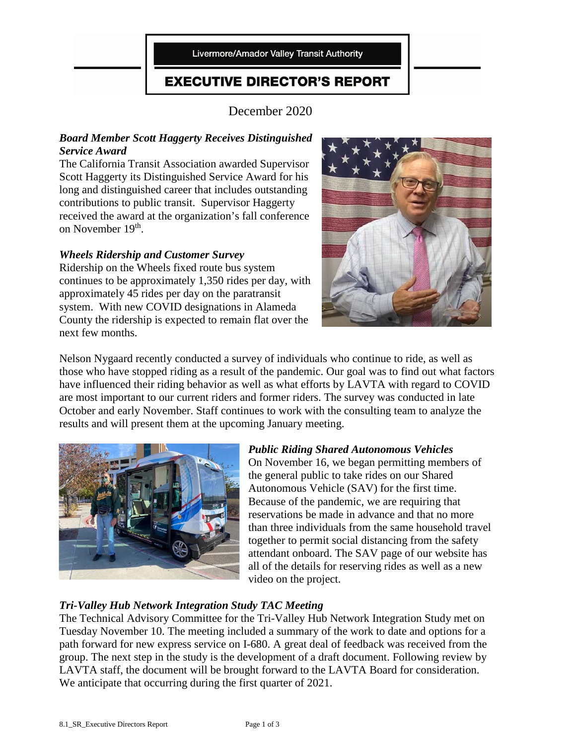Livermore/Amador Valley Transit Authority

### **EXECUTIVE DIRECTOR'S REPORT**

December 2020

#### *Board Member Scott Haggerty Receives Distinguished Service Award*

The California Transit Association awarded Supervisor Scott Haggerty its Distinguished Service Award for his long and distinguished career that includes outstanding contributions to public transit. Supervisor Haggerty received the award at the organization's fall conference on November 19<sup>th</sup>.

#### *Wheels Ridership and Customer Survey*

Ridership on the Wheels fixed route bus system continues to be approximately 1,350 rides per day, with approximately 45 rides per day on the paratransit system. With new COVID designations in Alameda County the ridership is expected to remain flat over the next few months.



Nelson Nygaard recently conducted a survey of individuals who continue to ride, as well as those who have stopped riding as a result of the pandemic. Our goal was to find out what factors have influenced their riding behavior as well as what efforts by LAVTA with regard to COVID are most important to our current riders and former riders. The survey was conducted in late October and early November. Staff continues to work with the consulting team to analyze the results and will present them at the upcoming January meeting.



#### *Public Riding Shared Autonomous Vehicles* On November 16, we began permitting members of the general public to take rides on our Shared Autonomous Vehicle (SAV) for the first time. Because of the pandemic, we are requiring that reservations be made in advance and that no more than three individuals from the same household travel together to permit social distancing from the safety attendant onboard. The SAV page of our website has all of the details for reserving rides as well as a new video on the project.

#### *Tri-Valley Hub Network Integration Study TAC Meeting*

The Technical Advisory Committee for the Tri-Valley Hub Network Integration Study met on Tuesday November 10. The meeting included a summary of the work to date and options for a path forward for new express service on I-680. A great deal of feedback was received from the group. The next step in the study is the development of a draft document. Following review by LAVTA staff, the document will be brought forward to the LAVTA Board for consideration. We anticipate that occurring during the first quarter of 2021.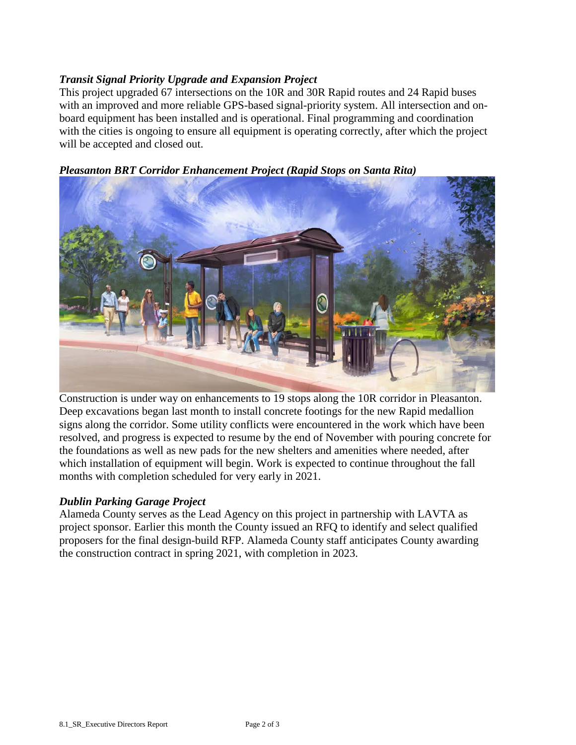#### *Transit Signal Priority Upgrade and Expansion Project*

This project upgraded 67 intersections on the 10R and 30R Rapid routes and 24 Rapid buses with an improved and more reliable GPS-based signal-priority system. All intersection and onboard equipment has been installed and is operational. Final programming and coordination with the cities is ongoing to ensure all equipment is operating correctly, after which the project will be accepted and closed out.

*Pleasanton BRT Corridor Enhancement Project (Rapid Stops on Santa Rita)*

Construction is under way on enhancements to 19 stops along the 10R corridor in Pleasanton. Deep excavations began last month to install concrete footings for the new Rapid medallion signs along the corridor. Some utility conflicts were encountered in the work which have been resolved, and progress is expected to resume by the end of November with pouring concrete for the foundations as well as new pads for the new shelters and amenities where needed, after which installation of equipment will begin. Work is expected to continue throughout the fall months with completion scheduled for very early in 2021.

#### *Dublin Parking Garage Project*

Alameda County serves as the Lead Agency on this project in partnership with LAVTA as project sponsor. Earlier this month the County issued an RFQ to identify and select qualified proposers for the final design-build RFP. Alameda County staff anticipates County awarding the construction contract in spring 2021, with completion in 2023.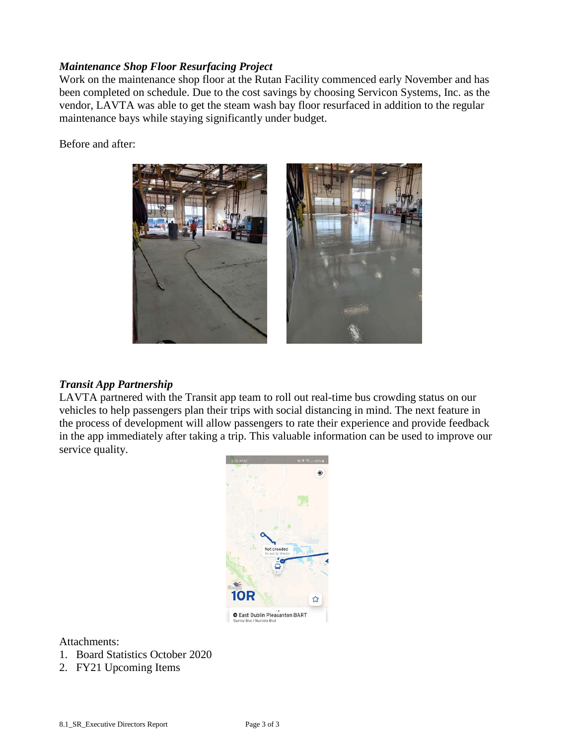#### *Maintenance Shop Floor Resurfacing Project*

Work on the maintenance shop floor at the Rutan Facility commenced early November and has been completed on schedule. Due to the cost savings by choosing Servicon Systems, Inc. as the vendor, LAVTA was able to get the steam wash bay floor resurfaced in addition to the regular maintenance bays while staying significantly under budget.

Before and after:



#### *Transit App Partnership*

LAVTA partnered with the Transit app team to roll out real-time bus crowding status on our vehicles to help passengers plan their trips with social distancing in mind. The next feature in the process of development will allow passengers to rate their experience and provide feedback in the app immediately after taking a trip. This valuable information can be used to improve our service quality.



Attachments:

- 1. Board Statistics October 2020
- 2. FY21 Upcoming Items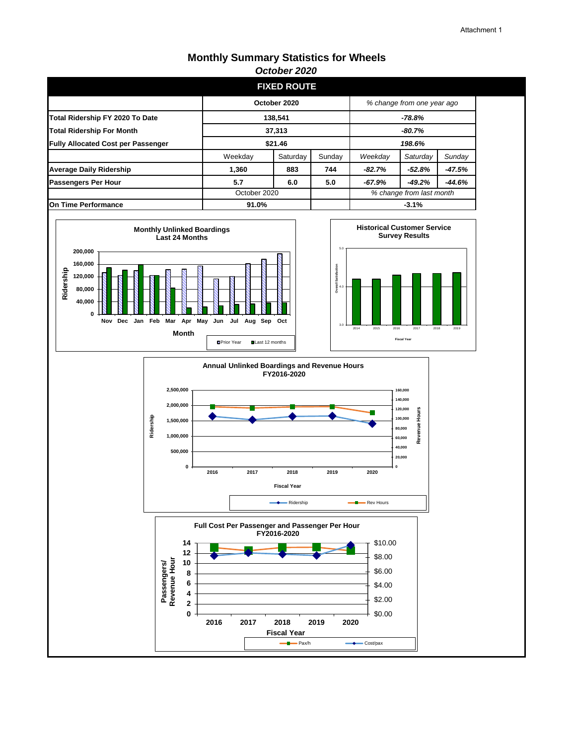#### **Monthly Summary Statistics for Wheels** *October 2020*

|                                           |              | <b>FIXED ROUTE</b>                       |         |                            |          |        |  |
|-------------------------------------------|--------------|------------------------------------------|---------|----------------------------|----------|--------|--|
|                                           | October 2020 |                                          |         | % change from one year ago |          |        |  |
| Total Ridership FY 2020 To Date           | 138.541      |                                          |         | $-78.8%$                   |          |        |  |
| <b>Total Ridership For Month</b>          | 37,313       |                                          |         | $-80.7%$                   |          |        |  |
| <b>Fully Allocated Cost per Passenger</b> | \$21.46      |                                          |         | 198.6%                     |          |        |  |
|                                           | Weekday      | Saturday                                 | Sunday  | Weekday                    | Saturday | Sunday |  |
| <b>Average Daily Ridership</b>            | 1,360        | 883                                      | 744     | -82.7%                     | -52.8%   | -47.5% |  |
| <b>Passengers Per Hour</b>                | 5.7          | 6.0                                      | 5.0     | -67.9%                     | $-49.2%$ | -44.6% |  |
|                                           |              | % change from last month<br>October 2020 |         |                            |          |        |  |
| On Time Performance                       | 91.0%        |                                          | $-3.1%$ |                            |          |        |  |







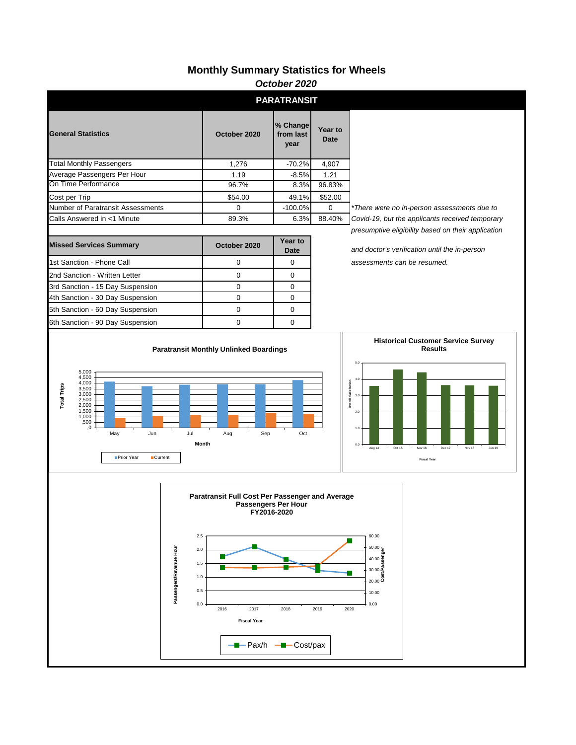### **Monthly Summary Statistics for Wheels**

|                                                                                                                                                                     |                                                                               |                                                                                                               | October 2020                               |                                                                                                     |                                                                                                                                                         |  |  |
|---------------------------------------------------------------------------------------------------------------------------------------------------------------------|-------------------------------------------------------------------------------|---------------------------------------------------------------------------------------------------------------|--------------------------------------------|-----------------------------------------------------------------------------------------------------|---------------------------------------------------------------------------------------------------------------------------------------------------------|--|--|
|                                                                                                                                                                     |                                                                               |                                                                                                               | <b>PARATRANSIT</b>                         |                                                                                                     |                                                                                                                                                         |  |  |
| <b>General Statistics</b>                                                                                                                                           |                                                                               | October 2020                                                                                                  | % Change<br>from last<br>year              | Year to<br><b>Date</b>                                                                              |                                                                                                                                                         |  |  |
| <b>Total Monthly Passengers</b>                                                                                                                                     |                                                                               | 1,276                                                                                                         | $-70.2%$                                   | 4,907                                                                                               |                                                                                                                                                         |  |  |
| Average Passengers Per Hour                                                                                                                                         |                                                                               | 1.19                                                                                                          | $-8.5%$                                    | 1.21                                                                                                |                                                                                                                                                         |  |  |
| On Time Performance                                                                                                                                                 |                                                                               | 96.7%                                                                                                         | 8.3%                                       | 96.83%                                                                                              |                                                                                                                                                         |  |  |
| Cost per Trip                                                                                                                                                       |                                                                               | \$54.00                                                                                                       | 49.1%                                      | \$52.00                                                                                             |                                                                                                                                                         |  |  |
| Number of Paratransit Assessments                                                                                                                                   |                                                                               | $\mathbf 0$                                                                                                   | $-100.0%$                                  | 0                                                                                                   | *There were no in-person assessments due to                                                                                                             |  |  |
| Calls Answered in <1 Minute                                                                                                                                         |                                                                               | 89.3%                                                                                                         | 6.3%                                       | 88.40%                                                                                              | Covid-19, but the applicants received temporary                                                                                                         |  |  |
| <b>Missed Services Summary</b>                                                                                                                                      | October 2020                                                                  | Year to<br><b>Date</b>                                                                                        |                                            | presumptive eligibility based on their application<br>and doctor's verification until the in-person |                                                                                                                                                         |  |  |
| 1st Sanction - Phone Call                                                                                                                                           |                                                                               | 0<br>0                                                                                                        |                                            |                                                                                                     | assessments can be resumed.                                                                                                                             |  |  |
| 2nd Sanction - Written Letter                                                                                                                                       |                                                                               | 0                                                                                                             | 0                                          |                                                                                                     |                                                                                                                                                         |  |  |
| 3rd Sanction - 15 Day Suspension                                                                                                                                    |                                                                               | 0                                                                                                             | 0                                          |                                                                                                     |                                                                                                                                                         |  |  |
| 4th Sanction - 30 Day Suspension                                                                                                                                    |                                                                               | $\mathbf 0$                                                                                                   | 0                                          |                                                                                                     |                                                                                                                                                         |  |  |
| 5th Sanction - 60 Day Suspension                                                                                                                                    |                                                                               | 0                                                                                                             | 0                                          |                                                                                                     |                                                                                                                                                         |  |  |
| 6th Sanction - 90 Day Suspension                                                                                                                                    |                                                                               | 0                                                                                                             | 0                                          |                                                                                                     |                                                                                                                                                         |  |  |
| 5,000<br>4,500<br>4,000<br><b>Total Trips</b><br>3,500<br>3,000<br>2,500<br>2,000<br>$1,500$<br>$1,000$<br>,500<br>0,<br>May<br>Jun<br>Prior Year<br><b>Current</b> | Jul                                                                           | Aug<br>Sep<br>Month                                                                                           | Oct                                        |                                                                                                     | 4.0<br><b>Overall Satisfaction</b><br>3.0<br>2.0<br>1.0<br>0.0<br>Oct 15<br>Aug 14<br>Dec 17<br>Nov 16<br>Nov 18<br><b>Jun 19</b><br><b>Fiscal Year</b> |  |  |
|                                                                                                                                                                     | 2.5<br>Passengers/Revenue Hour<br>$2.0\,$<br>$1.5\,$<br>1.0<br>$0.5\,$<br>0.0 | Paratransit Full Cost Per Passenger and Average<br>2016<br>2017<br><b>Fiscal Year</b><br>---Pax/h ---Cost/pax | Passengers Per Hour<br>FY2016-2020<br>2018 | 2019                                                                                                | 60.00<br>$\begin{array}{c}\n 50.00 \\ +0.00 \\ \hline\n 40.00 \\ \hline\n 30.00 \\ \hline\n 20.00\n \end{array}$<br>10.00<br>0.00<br>2020               |  |  |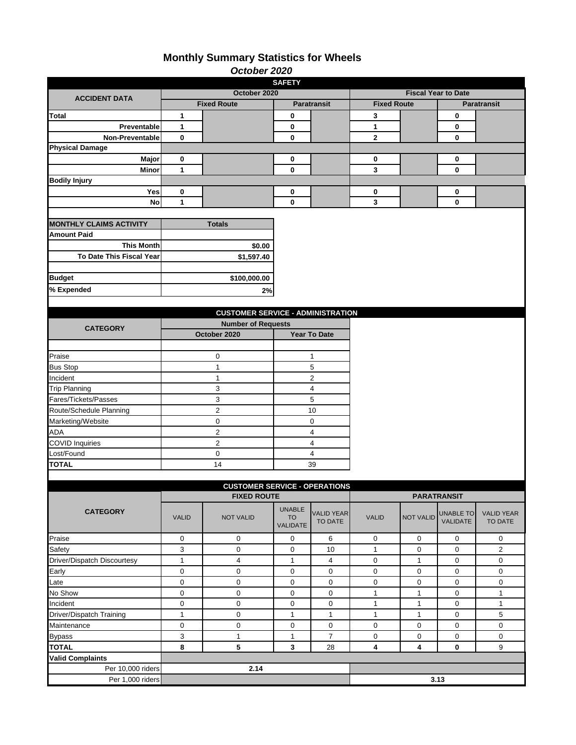### **Monthly Summary Statistics for Wheels**

|                                |                           | October 2020                             |                    |                              |                            |                  |                     |                              |  |
|--------------------------------|---------------------------|------------------------------------------|--------------------|------------------------------|----------------------------|------------------|---------------------|------------------------------|--|
| <b>SAFETY</b>                  |                           |                                          |                    |                              |                            |                  |                     |                              |  |
| <b>ACCIDENT DATA</b>           |                           | October 2020                             |                    |                              | <b>Fiscal Year to Date</b> |                  |                     |                              |  |
|                                |                           | <b>Fixed Route</b>                       | <b>Paratransit</b> |                              | <b>Fixed Route</b>         |                  |                     | <b>Paratransit</b>           |  |
| <b>Total</b>                   | 1                         |                                          | 0                  |                              | $\mathbf{3}$               |                  | $\bf{0}$            |                              |  |
| Preventable                    | $\mathbf{1}$              |                                          | 0                  |                              | $\mathbf{1}$               |                  | 0                   |                              |  |
| <b>Non-Preventable</b>         | 0                         |                                          | $\bf{0}$           |                              | $\mathbf{2}$               |                  | 0                   |                              |  |
| <b>Physical Damage</b>         |                           |                                          |                    |                              |                            |                  |                     |                              |  |
| Major                          | 0                         |                                          | 0                  |                              | 0                          |                  | 0                   |                              |  |
| Minor                          | $\mathbf{1}$              |                                          | $\mathbf 0$        |                              | 3                          |                  | 0                   |                              |  |
| <b>Bodily Injury</b>           |                           |                                          |                    |                              |                            |                  |                     |                              |  |
| Yes                            | 0                         |                                          | 0                  |                              | 0                          |                  | 0                   |                              |  |
| No                             | $\mathbf{1}$              |                                          | 0                  |                              | $\mathbf{3}$               |                  | 0                   |                              |  |
|                                |                           |                                          |                    |                              |                            |                  |                     |                              |  |
| <b>MONTHLY CLAIMS ACTIVITY</b> |                           | <b>Totals</b>                            |                    |                              |                            |                  |                     |                              |  |
| <b>Amount Paid</b>             |                           |                                          |                    |                              |                            |                  |                     |                              |  |
| <b>This Month</b>              |                           | \$0.00                                   |                    |                              |                            |                  |                     |                              |  |
| To Date This Fiscal Year       |                           | \$1,597.40                               |                    |                              |                            |                  |                     |                              |  |
|                                |                           |                                          |                    |                              |                            |                  |                     |                              |  |
| <b>Budget</b>                  |                           | \$100,000.00                             |                    |                              |                            |                  |                     |                              |  |
| % Expended                     |                           | 2%                                       |                    |                              |                            |                  |                     |                              |  |
|                                |                           |                                          |                    |                              |                            |                  |                     |                              |  |
|                                |                           | <b>CUSTOMER SERVICE - ADMINISTRATION</b> |                    |                              |                            |                  |                     |                              |  |
|                                | <b>Number of Requests</b> |                                          |                    |                              |                            |                  |                     |                              |  |
| <b>CATEGORY</b>                |                           | October 2020                             |                    | Year To Date                 |                            |                  |                     |                              |  |
|                                |                           |                                          |                    |                              |                            |                  |                     |                              |  |
| Praise                         |                           | 0                                        |                    | $\mathbf{1}$                 |                            |                  |                     |                              |  |
| <b>Bus Stop</b>                |                           | $\mathbf{1}$                             |                    | 5                            |                            |                  |                     |                              |  |
| Incident                       |                           | $\mathbf{1}$                             |                    | $\overline{c}$               |                            |                  |                     |                              |  |
| <b>Trip Planning</b>           |                           | 3                                        |                    | $\overline{\mathbf{4}}$      |                            |                  |                     |                              |  |
| Fares/Tickets/Passes           |                           | 3                                        |                    | 5                            |                            |                  |                     |                              |  |
| Route/Schedule Planning        |                           | $\overline{2}$                           |                    | 10                           |                            |                  |                     |                              |  |
| Marketing/Website              |                           | 0                                        |                    | 0                            |                            |                  |                     |                              |  |
| <b>ADA</b>                     |                           | $\overline{c}$                           |                    | 4                            |                            |                  |                     |                              |  |
| <b>COVID Inquiries</b>         |                           | $\overline{c}$                           |                    | $\overline{\mathbf{4}}$      |                            |                  |                     |                              |  |
| Lost/Found                     |                           | 0                                        |                    | 4                            |                            |                  |                     |                              |  |
| <b>TOTAL</b>                   |                           | 14                                       |                    | 39                           |                            |                  |                     |                              |  |
|                                |                           |                                          |                    |                              |                            |                  |                     |                              |  |
|                                |                           | <b>CUSTOMER SERVICE - OPERATIONS</b>     |                    |                              |                            |                  |                     |                              |  |
|                                |                           | <b>FIXED ROUTE</b>                       |                    |                              | <b>PARATRANSIT</b>         |                  |                     |                              |  |
|                                |                           |                                          | <b>UNABLE</b>      |                              |                            |                  |                     |                              |  |
| <b>CATEGORY</b>                | <b>VALID</b>              | <b>NOT VALID</b>                         | <b>TO</b>          | <b>VALID YEAR</b><br>TO DATE | <b>VALID</b>               | <b>NOT VALID</b> | <b>UNABLE TO</b>    | <b>VALID YEAR</b><br>TO DATE |  |
|                                |                           |                                          | <b>VALIDATE</b>    |                              |                            |                  | <b>VALIDATE</b>     |                              |  |
| Praise                         | 0                         | 0                                        | 0                  | 6                            | $\mathbf 0$                | 0                | 0                   | $\mathbf 0$                  |  |
| Safety                         | 3                         | 0                                        | 0                  | 10                           | $\mathbf{1}$               | 0                | 0                   | $\overline{2}$               |  |
| Driver/Dispatch Discourtesy    | $\mathbf{1}$              | 4                                        | $\mathbf{1}$       | $\overline{4}$               | 0                          | 1                | 0                   | 0                            |  |
| Early                          | 0                         | 0                                        | 0                  | 0                            | $\mathbf 0$                | 0                | $\mathbf 0$         | 0                            |  |
| Late                           | 0                         | 0                                        | 0                  | $\mathbf 0$                  | $\mathbf 0$                | 0                | 0                   | 0                            |  |
| No Show                        | 0                         | 0                                        | 0                  | $\mathbf 0$                  | $\mathbf{1}$               | $\mathbf{1}$     | $\mathbf 0$         | $\mathbf{1}$                 |  |
| Incident                       | 0                         | 0                                        | 0                  | $\mathbf 0$                  | $\mathbf{1}$               | $\mathbf{1}$     | 0                   | $\mathbf{1}$                 |  |
| Driver/Dispatch Training       | $\mathbf{1}$              | 0                                        | $\mathbf{1}$       | $\mathbf{1}$                 | $\mathbf{1}$               | $\mathbf{1}$     | 0                   | 5                            |  |
| Maintenance                    | 0                         | 0                                        | 0                  | $\mathbf 0$                  | 0                          | 0                | $\mathsf{O}\xspace$ | $\mathbf 0$                  |  |
| <b>Bypass</b>                  | 3                         | $\mathbf{1}$                             | $\mathbf{1}$       | $\boldsymbol{7}$             | $\mathsf{O}\xspace$        | 0                | $\mathbf 0$         | 0                            |  |
| <b>TOTAL</b>                   | 8                         | 5                                        | 3                  | 28                           | 4                          | 4                | 0                   | 9                            |  |
| <b>Valid Complaints</b>        |                           |                                          |                    |                              |                            |                  |                     |                              |  |
| Per 10,000 riders              |                           | 2.14                                     |                    |                              |                            |                  |                     |                              |  |
| Per 1,000 riders               |                           |                                          |                    |                              |                            |                  | 3.13                |                              |  |
|                                |                           |                                          |                    |                              |                            |                  |                     |                              |  |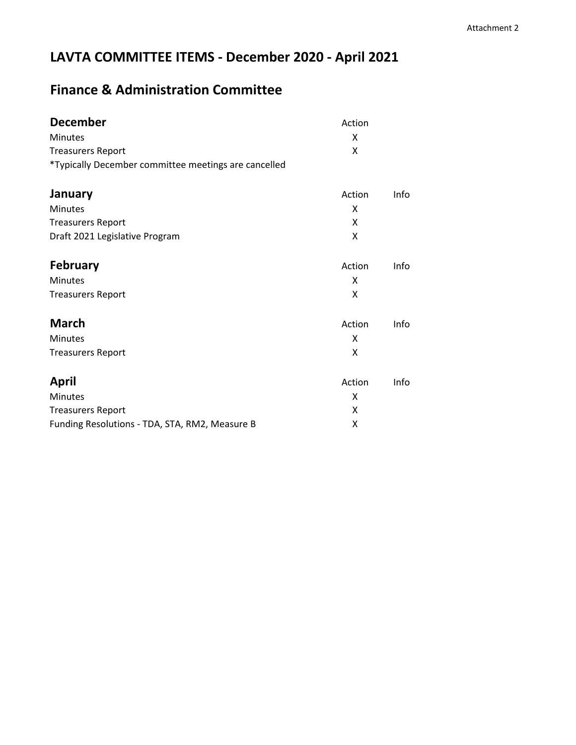# **LAVTA COMMITTEE ITEMS - December 2020 - April 2021**

## **Finance & Administration Committee**

| <b>December</b>                                      | Action |      |
|------------------------------------------------------|--------|------|
| Minutes                                              | X      |      |
| <b>Treasurers Report</b>                             | X      |      |
| *Typically December committee meetings are cancelled |        |      |
| January                                              | Action | Info |
| <b>Minutes</b>                                       | x      |      |
| <b>Treasurers Report</b>                             | X      |      |
| Draft 2021 Legislative Program                       | X      |      |
| <b>February</b>                                      | Action | Info |
| Minutes                                              | X      |      |
| <b>Treasurers Report</b>                             | X      |      |
| <b>March</b>                                         | Action | Info |
| Minutes                                              | x      |      |
| <b>Treasurers Report</b>                             | X      |      |
| <b>April</b>                                         | Action | Info |
| Minutes                                              | X      |      |
| <b>Treasurers Report</b>                             | X      |      |
| Funding Resolutions - TDA, STA, RM2, Measure B       | X      |      |